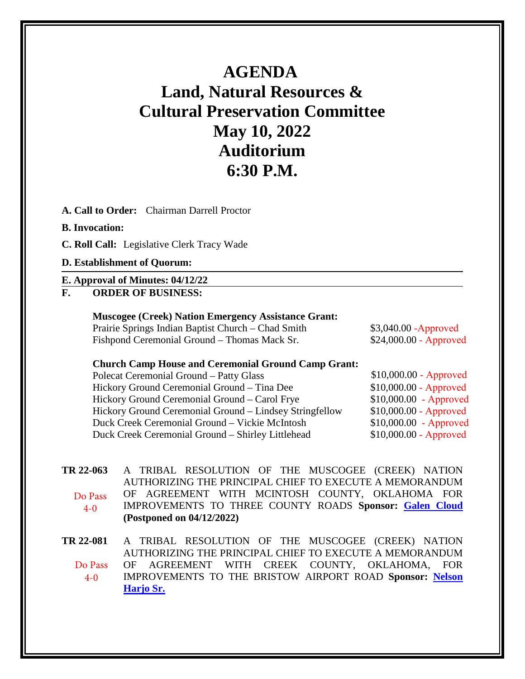# **AGENDA Land, Natural Resources & Cultural Preservation Committee May 10, 2022 Auditorium 6:30 P.M.**

**A. Call to Order:** Chairman Darrell Proctor

### **B. Invocation:**

**C. Roll Call:** Legislative Clerk Tracy Wade

#### **D. Establishment of Quorum:**

#### **E. Approval of Minutes: 04/12/22**

## **F. ORDER OF BUSINESS:**

### **Muscogee (Creek) Nation Emergency Assistance Grant:**

Prairie Springs Indian Baptist Church – Chad Smith \$3,040.00 -Approved Fishpond Ceremonial Ground – Thomas Mack Sr. \$24,000.00 - Approved

## **Church Camp House and Ceremonial Ground Camp Grant:**

Polecat Ceremonial Ground – Patty Glass \$10,000.00 - Approved Hickory Ground Ceremonial Ground – Tina Dee \$10,000.00 - Approved Hickory Ground Ceremonial Ground – Carol Frye \$10,000.00 - Approved Hickory Ground Ceremonial Ground – Lindsey Stringfellow \$10,000.00 - Approved Duck Creek Ceremonial Ground – Vickie McIntosh \$10,000.00 - Approved Duck Creek Ceremonial Ground – Shirley Littlehead \$10,000.00 - Approved

**[TR 22-063](bills/22-063.pdf)** A TRIBAL RESOLUTION OF THE MUSCOGEE (CREEK) NATION AUTHORIZING THE PRINCIPAL CHIEF TO EXECUTE A MEMORANDUM OF AGREEMENT WITH MCINTOSH COUNTY, OKLAHOMA FOR IMPROVEMENTS TO THREE COUNTY ROADS **Sponsor: [Galen Cloud](mailto:gcloud@mcn-nsn.gov) (Postponed on 04/12/2022)**  Do Pass 4-0

**[TR 22-081](bills/22-081.pdf)** A TRIBAL RESOLUTION OF THE MUSCOGEE (CREEK) NATION AUTHORIZING THE PRINCIPAL CHIEF TO EXECUTE A MEMORANDUM OF AGREEMENT WITH CREEK COUNTY, OKLAHOMA, FOR IMPROVEMENTS TO THE BRISTOW AIRPORT ROAD **Sponsor: [Nelson](mailto:nharjosr@mcn-nsn.gov)  [Harjo Sr.](mailto:nharjosr@mcn-nsn.gov)** Do Pass  $4 - 0$